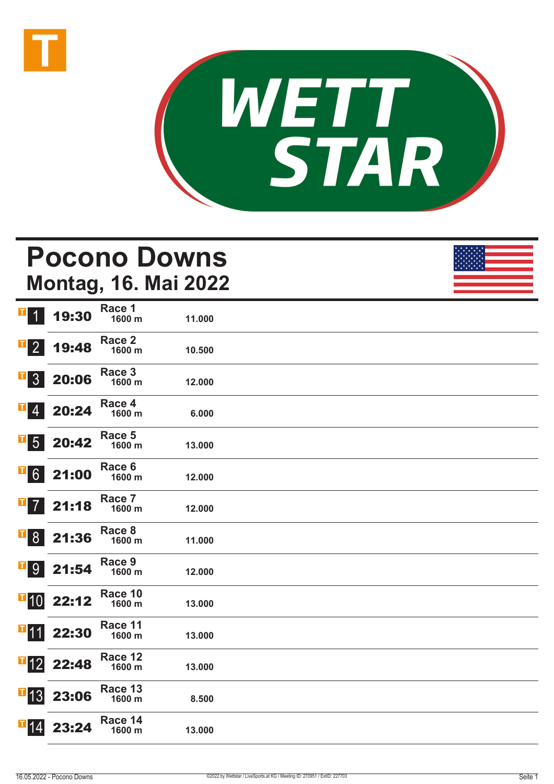



# **Pocono Downs Montag, 16. Mai 2022 1 19:30** Race 1 **1600 m 11.000**

| T<br>$\overline{2}$            | 19:48                                                      | Race 2<br>1600 m  | 10.500 |  |
|--------------------------------|------------------------------------------------------------|-------------------|--------|--|
| $\overline{\phantom{0}}$ 3     | 20:06                                                      | Race 3<br>1600 m  | 12.000 |  |
| $\blacksquare$ 4               | 20:24                                                      | Race 4<br>1600 m  | 6.000  |  |
| $\overline{\phantom{a}}$ 5     | 20:42                                                      | Race 5<br>1600 m  | 13.000 |  |
| $\overline{1}6$                | 21:00                                                      | Race 6<br>1600 m  | 12.000 |  |
| $\mathbf{T}$<br>$\overline{7}$ | 21:18                                                      | Race 7<br>1600 m  | 12.000 |  |
| $\overline{1}8$                | 21:36                                                      | Race 8<br>1600 m  | 11.000 |  |
| <b>F</b> 9                     | 21:54                                                      | Race 9<br>1600 m  | 12.000 |  |
| 110                            | 22:12                                                      | Race 10<br>1600 m | 13.000 |  |
|                                | $\begin{array}{ c c }\n\hline\nI & 1 & 22:30\n\end{array}$ | Race 11<br>1600 m | 13.000 |  |
| $\blacksquare$ 12              | 22:48                                                      | Race 12<br>1600 m | 13.000 |  |
| $\blacksquare$ 13              | 23:06                                                      | Race 13<br>1600 m | 8.500  |  |
| $\blacksquare$ 14              | 23:24                                                      | Race 14<br>1600 m | 13.000 |  |
|                                |                                                            |                   |        |  |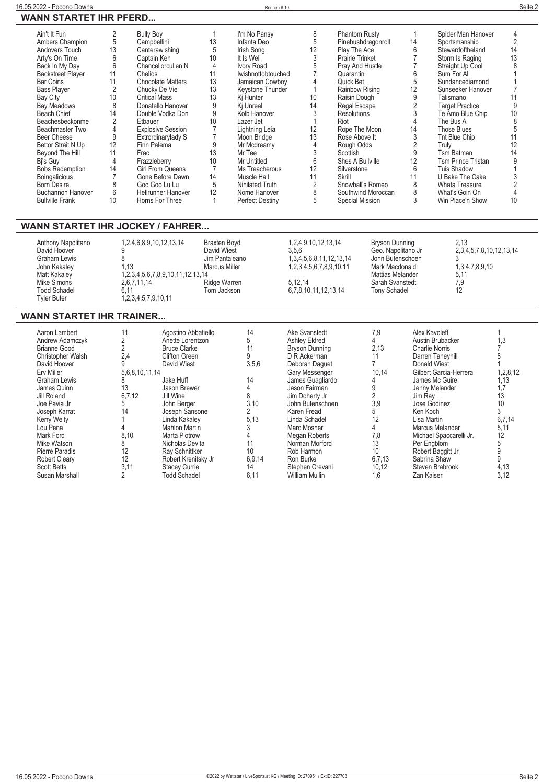$\overline{\phantom{0}}$ 

| Ain't It Fun             |                | <b>Bully Boy</b>          |    | I'm No Pansy           | 8  | <b>Phantom Rusty</b> |    | Spider Man Hanover        | 4              |
|--------------------------|----------------|---------------------------|----|------------------------|----|----------------------|----|---------------------------|----------------|
| Ambers Champion          | 5              | Campbellini               | 13 | Infanta Deo            | 5  | Pinebushdragonroll   | 14 | Sportsmanship             | $\overline{2}$ |
| Andovers Touch           | 13             | Canterawishing            | 5  | Irish Song             | 12 | Play The Ace         | 6  | Stewardoftheland          | 14             |
| Arty's On Time           | 6              | Captain Ken               | 10 | It Is Well             | 3  | Prairie Trinket      |    | Storm Is Raging           | 13             |
| Back In My Day           | 6              | Chancellorcullen N        | 4  | Ivory Road             |    | Prav And Hustle      |    | Straight Up Cool          | 8              |
| <b>Backstreet Player</b> | 11             | Chelios                   | 11 | Iwishnottobtouched     |    | Quarantini           | 6  | Sum For All               |                |
| Bar Coins                | 11             | <b>Chocolate Matters</b>  | 13 | Jamaican Cowboy        |    | Quick Bet            | 5  | Sundancediamond           |                |
| <b>Bass Plaver</b>       |                | Chucky De Vie             | 13 | Kevstone Thunder       |    | Rainbow Rising       | 12 | Sunseeker Hanover         |                |
| Bay City                 | 10             | <b>Critical Mass</b>      | 13 | Kj Hunter              | 10 | Raisin Dough         |    | Talismano                 |                |
| Bay Meadows              | 8              | Donatello Hanover         | 9  | Ki Unreal              | 14 | Regal Escape         |    | <b>Target Practice</b>    | 9              |
| Beach Chief              | 14             | Double Vodka Don          | 9  | Kolb Hanover           |    | <b>Resolutions</b>   |    | Te Amo Blue Chip          | $10$           |
| Beachesbeckonme          | $\overline{2}$ | Etbauer                   | 10 | Lazer Jet              |    | Riot                 | 4  | The Bus A                 | 8              |
| Beachmaster Two          | 4              | <b>Explosive Session</b>  |    | Lightning Leia         | 12 | Rope The Moon        | 14 | Those Blues               |                |
| Beer Cheese              | 9              | Extrordinarylady S        |    | Moon Bridge            | 13 | Rose Above It        |    | Tnt Blue Chip             | 11             |
| Bettor Strait N Up       | 12             | Finn Palema               | 9  | Mr Mcdreamy            |    | Rough Odds           |    | Truly                     | 12             |
| Beyond The Hill          | 11             | Frac                      | 13 | Mr Tee                 |    | Scottish             | 9  | Tsm Batman                | 14             |
| Bi's Guy                 | 4              | Frazzleberry              | 10 | Mr Untitled            | 6  | Shes A Bullville     | 12 | <b>Tsm Prince Tristan</b> |                |
| <b>Bobs Redemption</b>   | 14             | <b>Girl From Queens</b>   |    | Ms Treacherous         | 12 | Silverstone          | 6  | <b>Tuis Shadow</b>        |                |
| <b>Boingalicious</b>     |                | Gone Before Dawn          | 14 | Muscle Hall            | 11 | Skrill               | 11 | U Bake The Cake           |                |
| <b>Born Desire</b>       |                | Goo Goo Lu Lu             | 5  | Nihilated Truth        |    | Snowball's Romeo     | 8  | Whata Treasure            |                |
| <b>Buchannon Hanover</b> | 6              | <b>Hellrunner Hanover</b> | 12 | Nome Hanover           | ጸ  | Southwind Moroccan   | 8  | What's Goin On            |                |
| <b>Bullville Frank</b>   | 10             | Horns For Three           |    | <b>Perfect Destiny</b> | 5  | Special Mission      | 3  | Win Place'n Show          | 10             |
|                          |                |                           |    |                        |    |                      |    |                           |                |

## **WANN STARTET IHR JOCKEY / FAHRER...**

| Anthony Napolitano<br>David Hoover<br>Graham Lewis<br>John Kakaley<br>Matt Kakaley<br>Mike Simons<br><b>Todd Schadel</b><br><b>Tyler Buter</b> | 1, 2, 4, 6, 8, 9, 10, 12, 13, 14<br>l.13<br>1, 2, 3, 4, 5, 6, 7, 8, 9, 10, 11, 12, 13, 14<br>2,6,7,11,14<br>6.11<br>1, 2, 3, 4, 5, 7, 9, 10, 11 | <b>Braxten Bovd</b><br>David Wiest<br>Jim Pantaleano<br>Marcus Miller<br>Ridge Warren<br>Tom Jackson | 1, 2, 4, 9, 10, 12, 13, 14<br>3.5.6<br>1, 3, 4, 5, 6, 8, 11, 12, 13, 14<br>1,2,3,4,5,6,7,8,9,10,11<br>5.12.14<br>6.7.8.10.11.12.13.14 | Bryson Dunning<br>Geo. Napolitano Jr<br>John Butenschoen<br>Mark Macdonald<br><b>Mattias Melander</b><br>Sarah Svanstedt<br>Tony Schadel | 2.13<br>2, 3, 4, 5, 7, 8, 10, 12, 13, 14<br>1,3,4,7,8,9,10<br>5.11<br>7,9<br>12 |  |
|------------------------------------------------------------------------------------------------------------------------------------------------|-------------------------------------------------------------------------------------------------------------------------------------------------|------------------------------------------------------------------------------------------------------|---------------------------------------------------------------------------------------------------------------------------------------|------------------------------------------------------------------------------------------------------------------------------------------|---------------------------------------------------------------------------------|--|
|------------------------------------------------------------------------------------------------------------------------------------------------|-------------------------------------------------------------------------------------------------------------------------------------------------|------------------------------------------------------------------------------------------------------|---------------------------------------------------------------------------------------------------------------------------------------|------------------------------------------------------------------------------------------------------------------------------------------|---------------------------------------------------------------------------------|--|

## **WANN STARTET IHR TRAINER...**

| Aaron Lambert        | 11             | Agostino Abbatiello  | 14     | Ake Svanstedt         | 7,9    | Alex Kavoleff           |          |
|----------------------|----------------|----------------------|--------|-----------------------|--------|-------------------------|----------|
| Andrew Adamczyk      | C              | Anette Lorentzon     |        | Ashley Eldred         |        | Austin Brubacker        | 1,3      |
|                      |                |                      | h.     |                       |        |                         |          |
| Brianne Good         |                | <b>Bruce Clarke</b>  | 11     | <b>Bryson Dunning</b> | 2,13   | Charlie Norris          |          |
| Christopher Walsh    | 2.4            | <b>Clifton Green</b> |        | D R Ackerman          |        | Darren Tanevhill        |          |
| David Hoover         |                | David Wiest          | 3,5,6  | Deborah Daquet        |        | <b>Donald Wiest</b>     |          |
| Erv Miller           | 5,6,8,10,11,14 |                      |        | Gary Messenger        | 10,14  | Gilbert Garcia-Herrera  | 1,2,8,12 |
| Graham Lewis         |                | Jake Huff            | 14     | James Guagliardo      |        | James Mc Guire          | 1,13     |
| James Quinn          | 13             | Jason Brewer         |        | Jason Fairman         |        | Jenny Melander          | 1,7      |
| Jill Roland          | 6,7,12         | Jill Wine            | 8      | Jim Doherty Jr        |        | Jim Rav                 | 13       |
| Joe Pavia Jr         |                | John Berger          | 3.10   | John Butenschoen      | 3,9    | Jose Godinez            | 10       |
| Joseph Karrat        | 14             | Joseph Sansone       |        | Karen Fread           |        | Ken Koch                |          |
| <b>Kerry Welty</b>   |                | Linda Kakalev        | 5.13   | Linda Schadel         |        | Lisa Martin             | 6,7,14   |
| Lou Pena             |                | <b>Mahlon Martin</b> |        | Marc Mosher           |        | Marcus Melander         | 5,11     |
| Mark Ford            | 8,10           | Marta Piotrow        |        | Megan Roberts         | 7,8    | Michael Spaccarelli Jr. | 12       |
| Mike Watson          | 8              | Nicholas Devita      |        | Norman Morford        | 13     | Per Engblom             | 5        |
| Pierre Paradis       | 12             | Rav Schnittker       | 10     | Rob Harmon            | 10     | Robert Baggitt Jr       |          |
| <b>Robert Cleary</b> | 12             | Robert Krenitsky Jr  | 6,9,14 | Ron Burke             | 6,7,13 | Sabrina Shaw            |          |
| <b>Scott Betts</b>   | 3,11           | <b>Stacey Currie</b> | 14     | Stephen Crevani       | 10,12  | Steven Brabrook         | 4,13     |
| Susan Marshall       |                | <b>Todd Schadel</b>  | 6,11   | William Mullin        | 1.6    | Zan Kaiser              | 3,12     |
|                      |                |                      |        |                       |        |                         |          |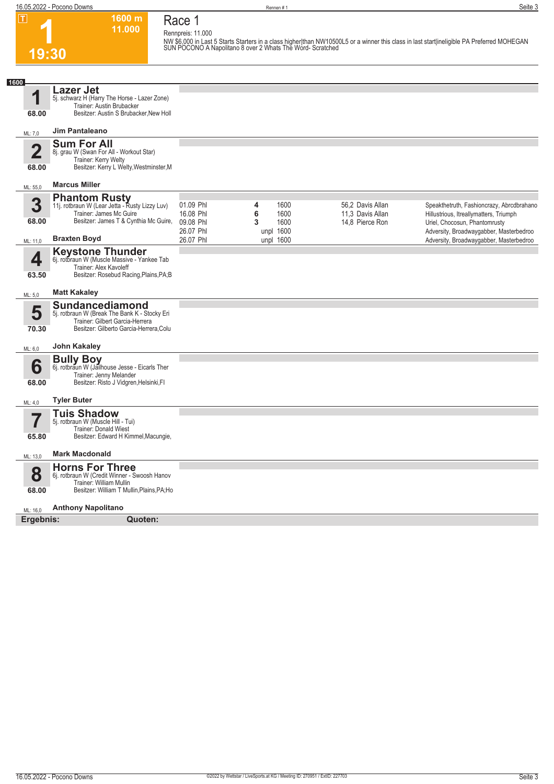**Race 1 Rennpreis: 11.000**

**1600 m 11.000** 

**1 19:30**

**NW \$6,000 in Last 5 Starts Starters in a class higher|than NW10500L5 or a winner this class in last start|ineligible PA Preferred MOHEGAN SUN POCONO A Napolitano 8 over 2 Whats The Word- Scratched** 

| 1600           |                                                                                                                                                 |                                                  |                                                  |                                                         |                                                                                                                                                                 |
|----------------|-------------------------------------------------------------------------------------------------------------------------------------------------|--------------------------------------------------|--------------------------------------------------|---------------------------------------------------------|-----------------------------------------------------------------------------------------------------------------------------------------------------------------|
| ◢<br>68.00     | Lazer Jet<br>5j. schwarz H (Harry The Horse - Lazer Zone)<br>Trainer: Austin Brubacker<br>Besitzer: Austin S Brubacker, New Holl                |                                                  |                                                  |                                                         |                                                                                                                                                                 |
| ML: 7,0        | <b>Jim Pantaleano</b>                                                                                                                           |                                                  |                                                  |                                                         |                                                                                                                                                                 |
| $\overline{2}$ | <b>Sum For All</b><br>8j. grau W (Swan For All - Workout Star)                                                                                  |                                                  |                                                  |                                                         |                                                                                                                                                                 |
| 68.00          | Trainer: Kerry Welty<br>Besitzer: Kerry L Welty, Westminster, M                                                                                 |                                                  |                                                  |                                                         |                                                                                                                                                                 |
| ML: 55,0       | <b>Marcus Miller</b>                                                                                                                            |                                                  |                                                  |                                                         |                                                                                                                                                                 |
| 3<br>68.00     | <b>Phantom Rusty</b><br>11j. rotbraun W (Lear Jetta - Rusty Lizzy Luv)<br>Trainer: James Mc Guire<br>Besitzer: James T & Cynthia Mc Guire,      | 01.09 Phl<br>16.08 Phl<br>09.08 Phl<br>26.07 Phl | 1600<br>4<br>6<br>1600<br>3<br>1600<br>unpl 1600 | 56,2 Davis Allan<br>11,3 Davis Allan<br>14,8 Pierce Ron | Speakthetruth, Fashioncrazy, Abrcdbrahano<br>Hillustrious, Itreallymatters, Triumph<br>Uriel, Chocosun, Phantomrusty<br>Adversity, Broadwaygabber, Masterbedroo |
| ML: 11,0       | <b>Braxten Boyd</b>                                                                                                                             | 26.07 Phl                                        | unpl 1600                                        |                                                         | Adversity, Broadwaygabber, Masterbedroo                                                                                                                         |
| 4<br>63.50     | <b>Keystone Thunder</b><br>6j. rotbraun W (Muscle Massive - Yankee Tab<br>Trainer: Alex Kavoleff<br>Besitzer: Rosebud Racing, Plains, PA; B     |                                                  |                                                  |                                                         |                                                                                                                                                                 |
| ML: 5,0        | <b>Matt Kakaley</b>                                                                                                                             |                                                  |                                                  |                                                         |                                                                                                                                                                 |
| 5<br>70.30     | Sundancediamond<br>5j. rotbraun W (Break The Bank K - Stocky Eri<br>Trainer: Gilbert Garcia-Herrera<br>Besitzer: Gilberto Garcia-Herrera, Colu  |                                                  |                                                  |                                                         |                                                                                                                                                                 |
| ML: 6,0        | John Kakaley                                                                                                                                    |                                                  |                                                  |                                                         |                                                                                                                                                                 |
| 6<br>68.00     | <b>Bully Boy</b><br>6j. rotbraun W (Jailhouse Jesse - Eicarls Ther<br>Trainer: Jenny Melander<br>Besitzer: Risto J Vidgren, Helsinki, Fl        |                                                  |                                                  |                                                         |                                                                                                                                                                 |
| ML: 4,0        | <b>Tyler Buter</b>                                                                                                                              |                                                  |                                                  |                                                         |                                                                                                                                                                 |
| 7              | <b>Tuis Shadow</b><br>5j. rotbraun W (Muscle Hill - Tui)<br>Trainer: Donald Wiest                                                               |                                                  |                                                  |                                                         |                                                                                                                                                                 |
| 65.80          | Besitzer: Edward H Kimmel, Macungie,                                                                                                            |                                                  |                                                  |                                                         |                                                                                                                                                                 |
| ML: 13,0       | <b>Mark Macdonald</b>                                                                                                                           |                                                  |                                                  |                                                         |                                                                                                                                                                 |
| 8<br>68.00     | <b>Horns For Three</b><br>6j. rotbraun W (Credit Winner - Swoosh Hanov<br>Trainer: William Mullin<br>Besitzer: William T Mullin, Plains, PA; Ho |                                                  |                                                  |                                                         |                                                                                                                                                                 |
| ML: 16,0       | <b>Anthony Napolitano</b>                                                                                                                       |                                                  |                                                  |                                                         |                                                                                                                                                                 |
| Ergebnis:      | Quoten:                                                                                                                                         |                                                  |                                                  |                                                         |                                                                                                                                                                 |
|                |                                                                                                                                                 |                                                  |                                                  |                                                         |                                                                                                                                                                 |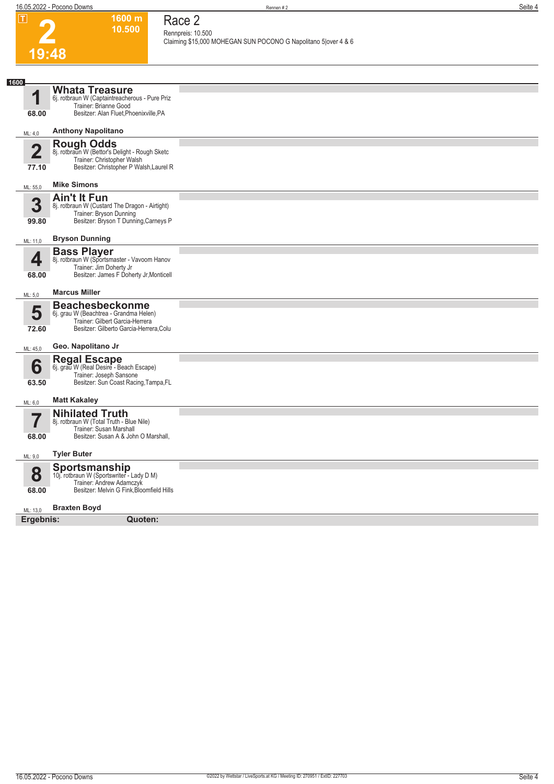**1600 m**

**Race 2**

**2**

|                         | 10.500                                                                     | Rennpreis: 10.500                                              |
|-------------------------|----------------------------------------------------------------------------|----------------------------------------------------------------|
| 19:48                   |                                                                            | Claiming \$15,000 MOHEGAN SUN POCONO G Napolitano 5 over 4 & 6 |
|                         |                                                                            |                                                                |
| 1600                    |                                                                            |                                                                |
| 1                       | <b>Whata Treasure</b><br>6j. rotbraun W (Captaintreacherous - Pure Priz    |                                                                |
| 68.00                   | Trainer: Brianne Good<br>Besitzer: Alan Fluet, Phoenixville, PA            |                                                                |
|                         |                                                                            |                                                                |
| ML: 4,0                 | <b>Anthony Napolitano</b>                                                  |                                                                |
| $\overline{\mathbf{2}}$ | Rough Odds<br>8j. rotbraun W (Bettor's Delight - Rough Sketc               |                                                                |
| 77.10                   | Trainer: Christopher Walsh<br>Besitzer: Christopher P Walsh, Laurel R      |                                                                |
| ML: 55,0                | <b>Mike Simons</b>                                                         |                                                                |
| 3                       | <b>Ain't It Fun</b><br>8j. rotbraun W (Custard The Dragon - Airtight)      |                                                                |
| 99.80                   | Trainer: Bryson Dunning<br>Besitzer: Bryson T Dunning, Carneys P           |                                                                |
|                         |                                                                            |                                                                |
| ML: 11,0                | <b>Bryson Dunning</b>                                                      |                                                                |
| 4                       | <b>Bass Player</b><br>8j. rotbraun W (Sportsmaster - Vavoom Hanov          |                                                                |
| 68.00                   | Trainer: Jim Doherty Jr<br>Besitzer: James F Doherty Jr, Monticell         |                                                                |
| ML: 5,0                 | <b>Marcus Miller</b>                                                       |                                                                |
| 5                       | <b>Beachesbeckonme</b><br>6j. grau W (Beachtrea - Grandma Helen)           |                                                                |
|                         | Trainer: Gilbert Garcia-Herrera<br>Besitzer: Gilberto Garcia-Herrera, Colu |                                                                |
| 72.60                   |                                                                            |                                                                |
| ML: 45,0                | Geo. Napolitano Jr                                                         |                                                                |
| 6                       | Regal Escape<br>6j. grau W (Real Desire - Beach Escape)                    |                                                                |
| 63.50                   | Trainer: Joseph Sansone<br>Besitzer: Sun Coast Racing, Tampa, FL           |                                                                |
| ML: 6,0                 | <b>Matt Kakaley</b>                                                        |                                                                |
|                         | <b>Nihilated Truth</b>                                                     |                                                                |
| 7                       | 8j. rotbraun W (Total Truth - Blue Nile)<br>Trainer: Susan Marshall        |                                                                |
| 68.00                   | Besitzer: Susan A & John O Marshall,                                       |                                                                |
| ML: 9,0                 | <b>Tyler Buter</b>                                                         |                                                                |
| 8                       | <b>Sportsmanship</b><br>10j. rotbraun W (Sportswriter - Lady D M)          |                                                                |
| 68.00                   | Trainer: Andrew Adamczyk<br>Besitzer: Melvin G Fink, Bloomfield Hills      |                                                                |
| ML: 13,0                | <b>Braxten Boyd</b>                                                        |                                                                |
| Ergebnis:               | Quoten:                                                                    |                                                                |
|                         |                                                                            |                                                                |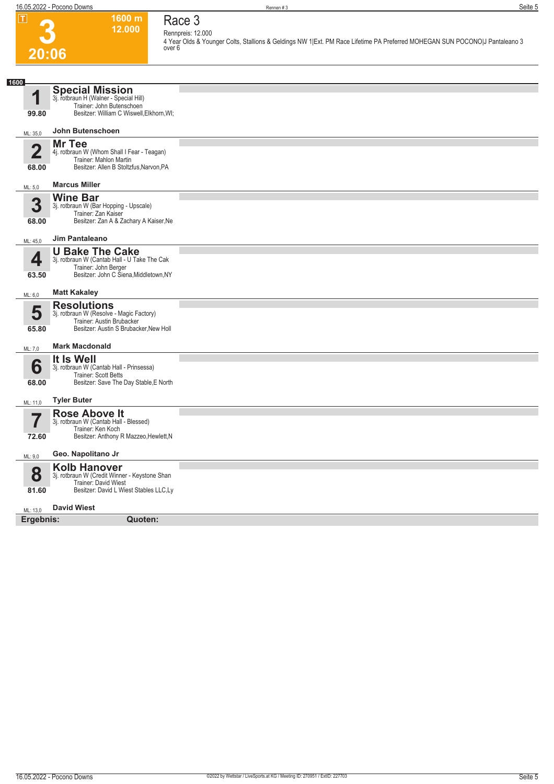**Race 3 Rennpreis: 12.000**

**4 Year Olds & Younger Colts, Stallions & Geldings NW 1|Ext. PM Race Lifetime PA Preferred MOHEGAN SUN POCONO|J Pantaleano 3 over 6** 



| ZU:UO                            |                                                                                                                                          |  |
|----------------------------------|------------------------------------------------------------------------------------------------------------------------------------------|--|
|                                  |                                                                                                                                          |  |
| 1600<br>1<br>99.80               | Special Mission<br>3j. rotbraun H (Walner - Special Hill)<br>Trainer: John Butenschoen<br>Besitzer: William C Wiswell, Elkhorn, WI;      |  |
| ML: 35,0                         | John Butenschoen                                                                                                                         |  |
| $\overline{\mathbf{2}}$<br>68.00 | Mr Tee<br>4j. rotbraun W (Whom Shall I Fear - Teagan)<br>Trainer: Mahlon Martin<br>Besitzer: Allen B Stoltzfus, Narvon, PA               |  |
| ML: 5.0                          | <b>Marcus Miller</b>                                                                                                                     |  |
| 3<br>68.00                       | <b>Wine Bar</b><br>3j. rotbraun W (Bar Hopping - Upscale)<br>Trainer: Zan Kaiser<br>Besitzer: Zan A & Zachary A Kaiser, Ne               |  |
| ML: 45,0                         | <b>Jim Pantaleano</b>                                                                                                                    |  |
| 4<br>63.50                       | <b>U Bake The Cake</b><br>3j. rotbraun W (Cantab Hall - U Take The Cak<br>Trainer: John Berger<br>Besitzer: John C Siena, Middletown, NY |  |
| ML: 6,0                          | <b>Matt Kakaley</b>                                                                                                                      |  |
| 5<br>65.80                       | <b>Resolutions</b><br>3j. rotbraun W (Resolve - Magic Factory)<br>Trainer: Austin Brubacker<br>Besitzer: Austin S Brubacker, New Holl    |  |
| ML: 7,0                          | <b>Mark Macdonald</b>                                                                                                                    |  |
| 6<br>68.00                       | It Is Well<br>3j. rotbraun W (Cantab Hall - Prinsessa)<br>Trainer: Scott Betts<br>Besitzer: Save The Day Stable, E North                 |  |
| ML: 11,0                         | <b>Tyler Buter</b><br><b>Rose Above It</b>                                                                                               |  |
| 7<br>72.60                       | 3j. rotbraun W (Cantab Hall - Blessed)<br>Trainer: Ken Koch<br>Besitzer: Anthony R Mazzeo, Hewlett, N                                    |  |
| ML: 9,0                          | Geo. Napolitano Jr                                                                                                                       |  |
| 8<br>81.60                       | <b>Kolb Hanover</b><br>3j. rotbraun W (Credit Winner - Keystone Shan<br>Trainer: David Wiest<br>Besitzer: David L Wiest Stables LLC,Ly   |  |
| ML: 13,0                         | <b>David Wiest</b>                                                                                                                       |  |
| Ergebnis:                        | Quoten:                                                                                                                                  |  |
|                                  |                                                                                                                                          |  |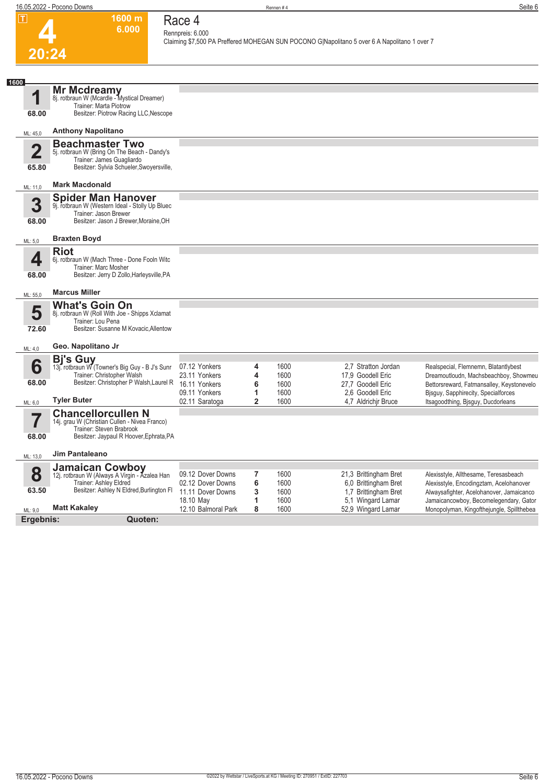

#### **1600 m Race 4 Rennpreis: 6.000**

**6.000** 

**Claiming \$7,500 PA Preffered MOHEGAN SUN POCONO G|Napolitano 5 over 6 A Napolitano 1 over 7** 

| 1600                             |                                                                                                                                                                  |                                                                                    |                                        |                                      |                                                                                                          |                                                                                                                                                                                                         |
|----------------------------------|------------------------------------------------------------------------------------------------------------------------------------------------------------------|------------------------------------------------------------------------------------|----------------------------------------|--------------------------------------|----------------------------------------------------------------------------------------------------------|---------------------------------------------------------------------------------------------------------------------------------------------------------------------------------------------------------|
| 68.00                            | Mr Mcdreamy<br>8j. rotbraun W (Mcardle - Mystical Dreamer)<br>Trainer: Marta Piotrow<br>Besitzer: Piotrow Racing LLC, Nescope                                    |                                                                                    |                                        |                                      |                                                                                                          |                                                                                                                                                                                                         |
| ML: 45,0                         | <b>Anthony Napolitano</b>                                                                                                                                        |                                                                                    |                                        |                                      |                                                                                                          |                                                                                                                                                                                                         |
| $\overline{\mathbf{2}}$<br>65.80 | <b>Beachmaster Two</b><br>5j. rotbraun W (Bring On The Beach - Dandy's<br>Trainer: James Guagliardo<br>Besitzer: Sylvia Schueler, Swoyersville,                  |                                                                                    |                                        |                                      |                                                                                                          |                                                                                                                                                                                                         |
| ML: 11,0                         | <b>Mark Macdonald</b>                                                                                                                                            |                                                                                    |                                        |                                      |                                                                                                          |                                                                                                                                                                                                         |
| 3<br>68.00                       | <b>Spider Man Hanover</b><br>9j. rotbraun W (Western Ideal - Stolly Up Bluec<br>Trainer: Jason Brewer<br>Besitzer: Jason J Brewer, Moraine, OH                   |                                                                                    |                                        |                                      |                                                                                                          |                                                                                                                                                                                                         |
| ML: 5,0                          | <b>Braxten Boyd</b>                                                                                                                                              |                                                                                    |                                        |                                      |                                                                                                          |                                                                                                                                                                                                         |
| 4<br>68.00                       | <b>Riot</b><br>6j. rotbraun W (Mach Three - Done Fooln Witc<br>Trainer: Marc Mosher<br>Besitzer: Jerry D Zollo, Harleysville, PA                                 |                                                                                    |                                        |                                      |                                                                                                          |                                                                                                                                                                                                         |
| ML: 55,0                         | <b>Marcus Miller</b>                                                                                                                                             |                                                                                    |                                        |                                      |                                                                                                          |                                                                                                                                                                                                         |
| 5<br>72.60                       | <b>What's Goin On</b><br>8j. rotbraun W (Roll With Joe - Shipps Xclamat<br>Trainer: Lou Pena<br>Besitzer: Susanne M Kovacic, Allentow                            |                                                                                    |                                        |                                      |                                                                                                          |                                                                                                                                                                                                         |
| ML: 4,0                          | Geo. Napolitano Jr                                                                                                                                               |                                                                                    |                                        |                                      |                                                                                                          |                                                                                                                                                                                                         |
| 6<br>68.00                       | <b>Bj's Guy</b><br>13j. rotbraun W (Towner's Big Guy - B J's Sunr<br>Trainer: Christopher Walsh<br>Besitzer: Christopher P Walsh, Laurel R<br><b>Tyler Buter</b> | 07.12 Yonkers<br>23.11 Yonkers<br>16.11 Yonkers<br>09.11 Yonkers<br>02.11 Saratoga | 4<br>4<br>6<br>1<br>$\overline{2}$     | 1600<br>1600<br>1600<br>1600<br>1600 | 2.7 Stratton Jordan<br>17,9 Goodell Eric<br>27.7 Goodell Eric<br>2.6 Goodell Eric<br>4.7 Aldrichir Bruce | Realspecial, Flemnemn, Blatantlybest<br>Dreamoutloudn, Machsbeachboy, Showmeu<br>Bettorsreward, Fatmansalley, Keystonevelo<br>Bisquy, Sapphirecity, Specialforces<br>Itsagoodthing, Bisguy, Ducdorleans |
| ML: 6,0<br>68.00                 | <b>Chancellorcullen N</b><br>14j. grau W (Christian Cullen - Nivea Franco)<br>Trainer: Steven Brabrook<br>Besitzer: Jaypaul R Hoover, Ephrata, PA                |                                                                                    |                                        |                                      |                                                                                                          |                                                                                                                                                                                                         |
| ML: 13,0                         | <b>Jim Pantaleano</b>                                                                                                                                            |                                                                                    |                                        |                                      |                                                                                                          |                                                                                                                                                                                                         |
| 8<br>63.50                       | <b>Jamaican Cowboy</b><br>12j. rotbraun W (Always A Virgin - Azalea Han<br>Trainer: Ashley Eldred<br>Besitzer: Ashley N Eldred, Burlington Fl                    | 09.12 Dover Downs<br>02.12 Dover Downs<br>11.11 Dover Downs<br>18.10 May           | $\overline{\mathbf{r}}$<br>6<br>3<br>1 | 1600<br>1600<br>1600<br>1600         | 21,3 Brittingham Bret<br>6,0 Brittingham Bret<br>1,7 Brittingham Bret<br>5,1 Wingard Lamar               | Alexisstyle, Allthesame, Teresasbeach<br>Alexisstyle, Encodingztam, Acelohanover<br>Alwaysafighter, Acelohanover, Jamaicanco<br>Jamaicancowboy, Becomelegendary, Gator                                  |
| ML: 9,0                          | <b>Matt Kakaley</b>                                                                                                                                              | 12.10 Balmoral Park                                                                | 8                                      | 1600                                 | 52,9 Wingard Lamar                                                                                       | Monopolyman, Kingofthejungle, Spillthebea                                                                                                                                                               |
| Ergebnis:                        | Quoten:                                                                                                                                                          |                                                                                    |                                        |                                      |                                                                                                          |                                                                                                                                                                                                         |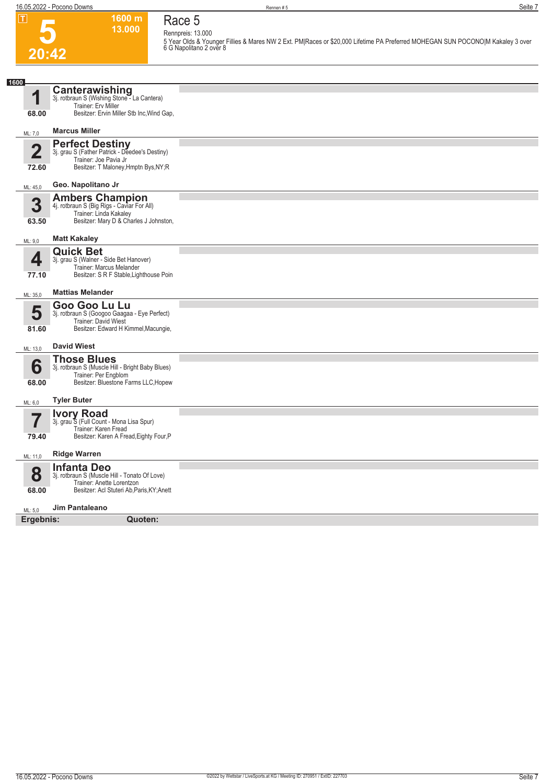

# **Race 5 Rennpreis: 13.000**

**1600 m 13.000** 

**5 Year Olds & Younger Fillies & Mares NW 2 Ext. PM|Races or \$20,000 Lifetime PA Preferred MOHEGAN SUN POCONO|M Kakaley 3 over 6 G Napolitano 2 over 8** 

| 1600                    |                                                                                                                                                |  |
|-------------------------|------------------------------------------------------------------------------------------------------------------------------------------------|--|
| И                       | <b>Canterawishing</b><br>3j. rotbraun S (Wishing Stone - La Cantera)<br>Trainer: Erv Miller                                                    |  |
| 68.00                   | Besitzer: Ervin Miller Stb Inc, Wind Gap,                                                                                                      |  |
| ML: 7,0                 | <b>Marcus Miller</b>                                                                                                                           |  |
| $\overline{2}$<br>72.60 | <b>Perfect Destiny</b><br>3j. grau S (Father Patrick - Deedee's Destiny)<br>Trainer: Joe Pavia Jr<br>Besitzer: T Maloney, Hmptn Bys, NY; R     |  |
| ML: 45,0                | Geo. Napolitano Jr                                                                                                                             |  |
| 3<br>63.50              | <b>Ambers Champion</b><br>4j. rotbraun S (Big Rigs - Caviar For All)<br>Trainer: Linda Kakaley<br>Besitzer: Mary D & Charles J Johnston,       |  |
| ML: 9,0                 | <b>Matt Kakaley</b>                                                                                                                            |  |
| 4<br>77.10              | <b>Quick Bet</b><br>3j. grau S (Walner - Side Bet Hanover)<br>Trainer: Marcus Melander<br>Besitzer: S R F Stable, Lighthouse Poin              |  |
| ML: 35,0                | <b>Mattias Melander</b>                                                                                                                        |  |
| 5<br>81.60              | Goo Goo Lu Lu<br>3j. rotbraun S (Googoo Gaagaa - Eye Perfect)<br>Trainer: David Wiest<br>Besitzer: Edward H Kimmel, Macungie,                  |  |
| ML: 13,0                | <b>David Wiest</b>                                                                                                                             |  |
| 6<br>68.00              | <b>Those Blues</b><br>3j. rotbraun S (Muscle Hill - Bright Baby Blues)<br>Trainer: Per Engblom<br>Besitzer: Bluestone Farms LLC, Hopew         |  |
| ML: 6,0                 | <b>Tyler Buter</b>                                                                                                                             |  |
| 79.40                   | <b>Ivory Road</b><br>3j. grau S (Full Count - Mona Lisa Spur)<br>Trainer: Karen Fread<br>Besitzer: Karen A Fread, Eighty Four, P               |  |
| ML: 11,0                | <b>Ridge Warren</b>                                                                                                                            |  |
| 8<br>68.00              | <b>Infanta Deo</b><br>3j. rotbraun S (Muscle Hill - Tonato Of Love)<br>Trainer: Anette Lorentzon<br>Besitzer: Acl Stuteri Ab, Paris, KY; Anett |  |
| ML: 5,0                 | Jim Pantaleano                                                                                                                                 |  |
| Ergebnis:               | Quoten:                                                                                                                                        |  |
|                         |                                                                                                                                                |  |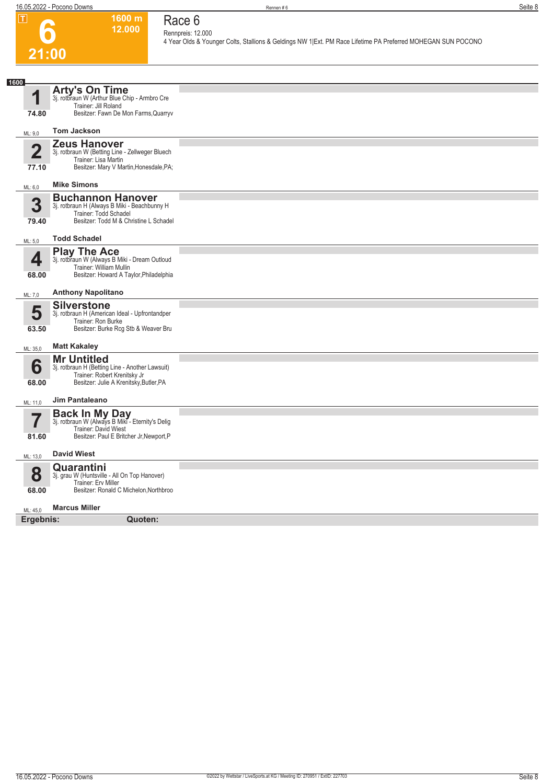**Race 6**



#### **Rennpreis: 12.000 4 Year Olds & Younger Colts, Stallions & Geldings NW 1|Ext. PM Race Lifetime PA Preferred MOHEGAN SUN POCONO**

| 1600                    |                                                                                                                                                  |  |
|-------------------------|--------------------------------------------------------------------------------------------------------------------------------------------------|--|
| И                       | <b>Arty's On Time</b><br>3j. rotbraun W (Arthur Blue Chip - Armbro Cre<br>Trainer: Jill Roland                                                   |  |
| 74.80                   | Besitzer: Fawn De Mon Farms, Quarryv                                                                                                             |  |
| ML: 9,0                 | <b>Tom Jackson</b>                                                                                                                               |  |
| $\overline{2}$<br>77.10 | <b>Zeus Hanover</b><br>3j. rotbraun W (Betting Line - Zellweger Bluech<br>Trainer: Lisa Martin<br>Besitzer: Mary V Martin, Honesdale, PA;        |  |
| ML: 6,0                 | <b>Mike Simons</b>                                                                                                                               |  |
| 3<br>79.40              | <b>Buchannon Hanover</b><br>3j. rotbraun H (Always B Miki - Beachbunny H<br>Trainer: Todd Schadel<br>Besitzer: Todd M & Christine L Schadel      |  |
| ML: 5,0                 | <b>Todd Schadel</b>                                                                                                                              |  |
| 4<br>68.00              | <b>Play The Ace</b><br>3j. rotbraun W (Always B Miki - Dream Outloud<br>Trainer: William Mullin<br>Besitzer: Howard A Taylor, Philadelphia       |  |
| ML: 7,0                 | <b>Anthony Napolitano</b>                                                                                                                        |  |
| 5<br>63.50              | <b>Silverstone</b><br>3j. rotbraun H (American Ideal - Upfrontandper<br>Trainer: Ron Burke<br>Besitzer: Burke Rcg Stb & Weaver Bru               |  |
| ML: 35,0                | <b>Matt Kakaley</b>                                                                                                                              |  |
| 6<br>68.00              | <b>Mr Untitled</b><br>3j. rotbraun H (Betting Line - Another Lawsuit)<br>Trainer: Robert Krenitsky Jr<br>Besitzer: Julie A Krenitsky, Butler, PA |  |
| ML: 11,0                | Jim Pantaleano                                                                                                                                   |  |
| 81.60                   | <b>Back In My Day</b><br>3j. rotbraun W (Always B Miki - Eternity's Delig<br>Trainer: David Wiest<br>Besitzer: Paul E Britcher Jr, Newport, P    |  |
| ML: 13,0                | <b>David Wiest</b>                                                                                                                               |  |
| 8<br>68.00              | Quarantini<br>3j. grau W (Huntsville - All On Top Hanover)<br>Trainer: Erv Miller<br>Besitzer: Ronald C Michelon, Northbroo                      |  |
| ML: 45,0                | <b>Marcus Miller</b>                                                                                                                             |  |
| Ergebnis:               | Quoten:                                                                                                                                          |  |
|                         |                                                                                                                                                  |  |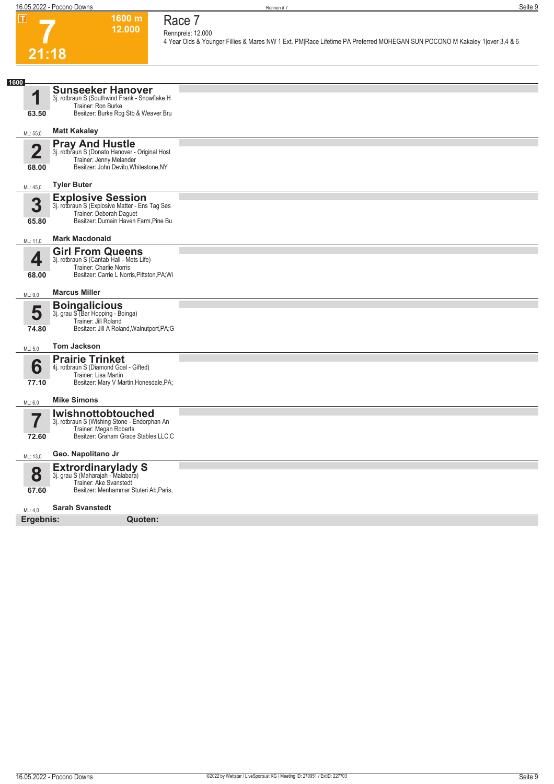**Race 7**



#### **Rennpreis: 12.000 4 Year Olds & Younger Fillies & Mares NW 1 Ext. PM|Race Lifetime PA Preferred MOHEGAN SUN POCONO M Kakaley 1|over 3,4 & 6**

| 1600      |                                                                           |  |
|-----------|---------------------------------------------------------------------------|--|
|           | <b>Sunseeker Hanover</b>                                                  |  |
| И         | 3j. rotbraun S (Southwind Frank - Snowflake H                             |  |
|           | Trainer: Ron Burke                                                        |  |
| 63.50     | Besitzer: Burke Rcg Stb & Weaver Bru                                      |  |
| ML: 55,0  | <b>Matt Kakaley</b>                                                       |  |
|           |                                                                           |  |
| 2         | <b>Pray And Hustle</b><br>3j. rotbraun S (Donato Hanover - Original Host  |  |
| 68.00     | Trainer: Jenny Melander<br>Besitzer: John Devito, Whitestone, NY          |  |
|           |                                                                           |  |
| ML: 45,0  | <b>Tyler Buter</b>                                                        |  |
|           | <b>Explosive Session</b>                                                  |  |
| 3         | 3j. rotbraun S (Explosive Matter - Ens Tag Ses<br>Trainer: Deborah Daguet |  |
| 65.80     | Besitzer: Dumain Haven Farm, Pine Bu                                      |  |
|           |                                                                           |  |
| ML: 11,0  | <b>Mark Macdonald</b>                                                     |  |
|           | <b>Girl From Queens</b>                                                   |  |
| 4         | 3j. rotbraun S (Cantab Hall - Mets Life)<br>Trainer: Charlie Norris       |  |
| 68.00     | Besitzer: Carrie L Norris, Pittston, PA; Wi                               |  |
|           |                                                                           |  |
| ML: 9,0   | <b>Marcus Miller</b>                                                      |  |
|           | <b>Boingalicious</b>                                                      |  |
| 5         | 3j. grau S (Bar Hopping - Boinga)<br>Trainer: Jill Roland                 |  |
| 74.80     | Besitzer: Jill A Roland, Walnutport, PA;G                                 |  |
|           |                                                                           |  |
| ML: 5,0   | <b>Tom Jackson</b>                                                        |  |
|           | <b>Prairie Trinket</b>                                                    |  |
| 6         | 4j. rotbraun S (Diamond Goal - Gifted)                                    |  |
| 77.10     | Trainer: Lisa Martin<br>Besitzer: Mary V Martin, Honesdale, PA;           |  |
|           |                                                                           |  |
| ML: 6,0   | <b>Mike Simons</b>                                                        |  |
|           | <b>Iwishnottobtouched</b>                                                 |  |
|           | 3j. rotbraun S (Wishing Stone - Endorphan An                              |  |
| 72.60     | Trainer: Megan Roberts<br>Besitzer: Graham Grace Stables LLC,C            |  |
|           |                                                                           |  |
| ML: 13,0  | Geo. Napolitano Jr                                                        |  |
|           | Extrordinarylady S<br>3j. grau S (Maharajah - Malabara)                   |  |
| 8         | Trainer: Ake Svanstedt                                                    |  |
| 67.60     | Besitzer: Menhammar Stuteri Ab, Paris,                                    |  |
|           | <b>Sarah Svanstedt</b>                                                    |  |
| ML: 4.0   |                                                                           |  |
| Ergebnis: | Quoten:                                                                   |  |
|           |                                                                           |  |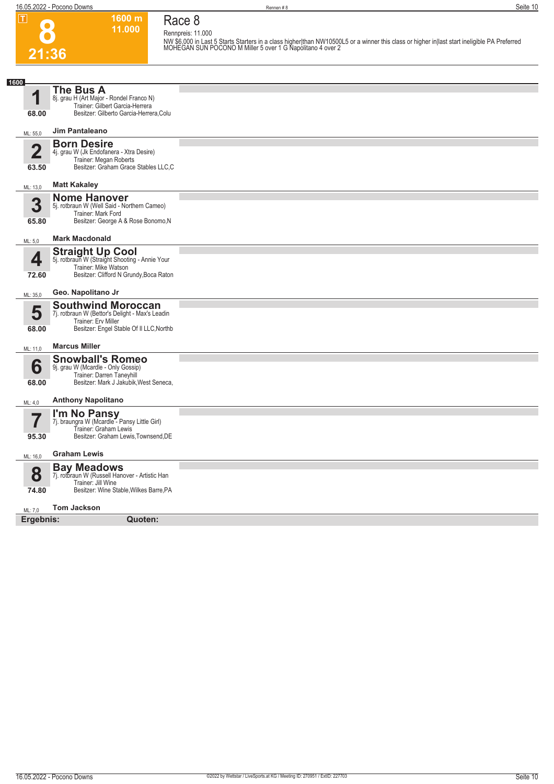| $\boxed{\mathbf{T}}$             | 1600 m<br>11.000<br>21:36                                                                                                                                | Race 8<br>Rennpreis: 11.000<br>NW \$6,000 in Last 5 Starts Starters in a class higher than NW10500L5 or a winner this class or higher in last start ineligible PA Preferred<br>MOHEGAN SUN POCONO M Miller 5 over 1 G Napolitano 4 over 2 |
|----------------------------------|----------------------------------------------------------------------------------------------------------------------------------------------------------|-------------------------------------------------------------------------------------------------------------------------------------------------------------------------------------------------------------------------------------------|
|                                  |                                                                                                                                                          |                                                                                                                                                                                                                                           |
| 1600<br>1<br>68.00               | The Bus A<br>8j. grau H (Art Major - Rondel Franco N)<br>Trainer: Gilbert Garcia-Herrera<br>Besitzer: Gilberto Garcia-Herrera, Colu                      |                                                                                                                                                                                                                                           |
| ML: 55,0                         | Jim Pantaleano                                                                                                                                           |                                                                                                                                                                                                                                           |
| $\overline{\mathbf{2}}$<br>63.50 | <b>Born Desire</b><br>4j. grau W (Jk Endofanera - Xtra Desire)<br>Trainer: Megan Roberts<br>Besitzer: Graham Grace Stables LLC,C                         |                                                                                                                                                                                                                                           |
| ML: 13,0                         | <b>Matt Kakaley</b>                                                                                                                                      |                                                                                                                                                                                                                                           |
| 3<br>65.80                       | <b>Nome Hanover</b><br>5j. rotbraun W (Well Said - Northern Cameo)<br>Trainer: Mark Ford<br>Besitzer: George A & Rose Bonomo, N<br><b>Mark Macdonald</b> |                                                                                                                                                                                                                                           |
| ML: 5,0                          | <b>Straight Up Cool</b>                                                                                                                                  |                                                                                                                                                                                                                                           |
| 4<br>72.60                       | 5j. rotbraun W (Straight Shooting - Annie Your<br>Trainer: Mike Watson<br>Besitzer: Clifford N Grundy, Boca Raton                                        |                                                                                                                                                                                                                                           |
| ML: 35,0                         | Geo. Napolitano Jr                                                                                                                                       |                                                                                                                                                                                                                                           |
| 5<br>68.00                       | <b>Southwind Moroccan</b><br>7j. rotbraun W (Bettor's Delight - Max's Leadin<br>Trainer: Erv Miller<br>Besitzer: Engel Stable Of II LLC, Northb          |                                                                                                                                                                                                                                           |
| ML: 11.0                         | <b>Marcus Miller</b>                                                                                                                                     |                                                                                                                                                                                                                                           |
| 6<br>68.00                       | <b>Snowball's Romeo</b><br>9j. grau W (Mcardle - Only Gossip)<br>Trainer: Darren Taneyhill<br>Besitzer: Mark J Jakubik, West Seneca,                     |                                                                                                                                                                                                                                           |
| ML: 4,0                          | <b>Anthony Napolitano</b>                                                                                                                                |                                                                                                                                                                                                                                           |
| 7<br>95.30                       | I'm No Pansy<br>7j. braungra W (Mcardle - Pansy Little Girl)<br>Trainer: Graham Lewis<br>Besitzer: Graham Lewis, Townsend, DE                            |                                                                                                                                                                                                                                           |
| ML: 16,0                         | <b>Graham Lewis</b>                                                                                                                                      |                                                                                                                                                                                                                                           |
| 8<br>74.80                       | <b>Bay Meadows</b><br>7j. rotbraun W (Russell Hanover - Artistic Han<br>Trainer: Jill Wine<br>Besitzer: Wine Stable, Wilkes Barre, PA                    |                                                                                                                                                                                                                                           |

#### ML: 7,0 **Tom Jackson**

**Ergebnis: Quoten:**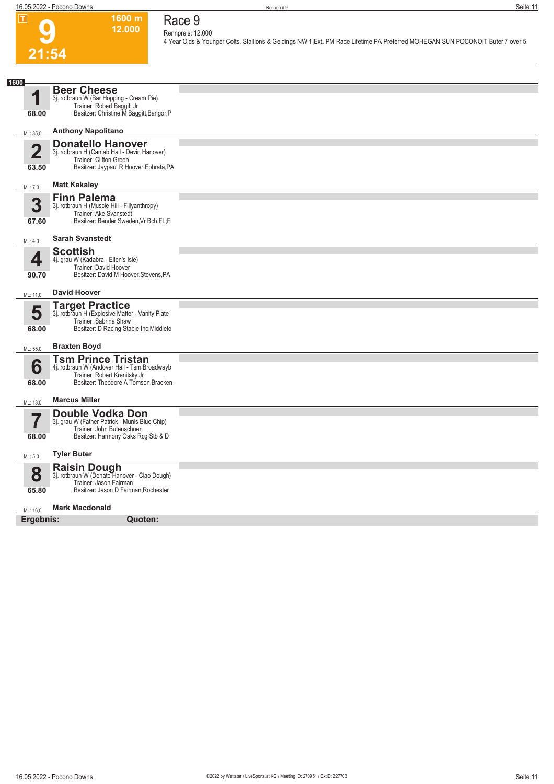**Race 9**



#### **Rennpreis: 12.000 4 Year Olds & Younger Colts, Stallions & Geldings NW 1|Ext. PM Race Lifetime PA Preferred MOHEGAN SUN POCONO|T Buter 7 over 5**

| 1600                             |                                                                                                                                                   |  |
|----------------------------------|---------------------------------------------------------------------------------------------------------------------------------------------------|--|
| 1<br>68.00                       | <b>Beer Cheese</b><br>3j. rotbraun W (Bar Hopping - Cream Pie)<br>Trainer: Robert Baggitt Jr<br>Besitzer: Christine M Baggitt, Bangor, P          |  |
| ML: 35,0                         | <b>Anthony Napolitano</b>                                                                                                                         |  |
| $\overline{\mathbf{2}}$<br>63.50 | <b>Donatello Hanover</b><br>3j. rotbraun H (Cantab Hall - Devin Hanover)<br>Trainer: Clifton Green<br>Besitzer: Jaypaul R Hoover, Ephrata, PA     |  |
| ML: 7,0                          | <b>Matt Kakaley</b>                                                                                                                               |  |
| 3<br>67.60                       | <b>Finn Palema</b><br>3j. rotbraun H (Muscle Hill - Fillyanthropy)<br>Trainer: Ake Svanstedt<br>Besitzer: Bender Sweden, Vr Bch, FL; FI           |  |
| ML: 4,0                          | <b>Sarah Svanstedt</b>                                                                                                                            |  |
| Д<br>90.70                       | <b>Scottish</b><br>4j. grau W (Kadabra - Ellen's Isle)<br>Trainer: David Hoover<br>Besitzer: David M Hoover, Stevens, PA                          |  |
| ML: 11,0                         | <b>David Hoover</b>                                                                                                                               |  |
| 5<br>68.00                       | <b>Target Practice</b><br>3j. rotbraun H (Explosive Matter - Vanity Plate<br>Trainer: Sabrina Shaw<br>Besitzer: D Racing Stable Inc, Middleto     |  |
| ML: 55,0                         | <b>Braxten Boyd</b>                                                                                                                               |  |
| 6<br>68.00                       | <b>Tsm Prince Tristan</b><br>4j. rotbraun W (Andover Hall - Tsm Broadwayb<br>Trainer: Robert Krenitsky Jr<br>Besitzer: Theodore A Tomson, Bracken |  |
| ML: 13,0                         | <b>Marcus Miller</b>                                                                                                                              |  |
| 68.00                            | <b>Double Vodka Don</b><br>3j. grau W (Father Patrick - Munis Blue Chip)<br>Trainer: John Butenschoen<br>Besitzer: Harmony Oaks Rcg Stb & D       |  |
| ML: 5,0                          | <b>Tyler Buter</b>                                                                                                                                |  |
| 8<br>65.80                       | <b>Raisin Dough</b><br>3j. rotbraun W (Donato Hanover - Ciao Dough)<br>Trainer: Jason Fairman<br>Besitzer: Jason D Fairman, Rochester             |  |
| ML: 16,0                         | <b>Mark Macdonald</b>                                                                                                                             |  |
| Ergebnis:                        | Quoten:                                                                                                                                           |  |
|                                  |                                                                                                                                                   |  |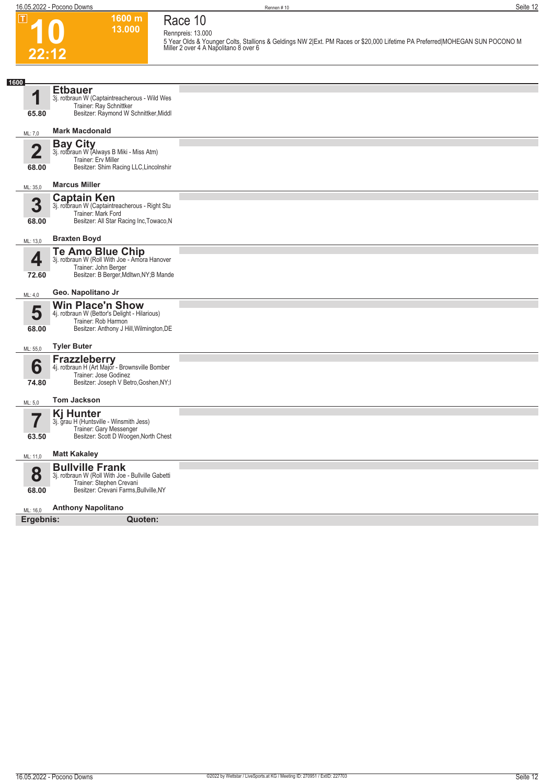**10**

 $\boxed{1}$ 

**22:12**

**Race 10 Rennpreis: 13.000**

**1600 m 13.000** 

**5 Year Olds & Younger Colts, Stallions & Geldings NW 2|Ext. PM Races or \$20,000 Lifetime PA Preferred|MOHEGAN SUN POCONO M Miller 2 over 4 A Napolitano 8 over 6** 

| 1600                    |                                                                                                                                                   |  |
|-------------------------|---------------------------------------------------------------------------------------------------------------------------------------------------|--|
| и                       | <b>Etbauer</b><br>3j. rotbraun W (Captaintreacherous - Wild Wes<br>Trainer: Ray Schnittker                                                        |  |
| 65.80                   | Besitzer: Raymond W Schnittker, Middl                                                                                                             |  |
| ML: 7,0                 | <b>Mark Macdonald</b>                                                                                                                             |  |
| $\overline{\mathbf{2}}$ | <b>Bay City</b><br>3j. rotbraun W (Always B Miki - Miss Atm)<br>Trainer: Erv Miller                                                               |  |
| 68.00                   | Besitzer: Shim Racing LLC, Lincolnshir                                                                                                            |  |
| ML: 35,0                | <b>Marcus Miller</b>                                                                                                                              |  |
| 3<br>68.00              | <b>Captain Ken</b><br>3j. rotbraun W (Captaintreacherous - Right Stu<br>Trainer: Mark Ford<br>Besitzer: All Star Racing Inc, Towaco, N            |  |
| ML: 13,0                | <b>Braxten Boyd</b>                                                                                                                               |  |
| 4<br>72.60              | <b>Te Amo Blue Chip</b><br>3j. rotbraun W (Roll With Joe - Amora Hanover<br>Trainer: John Berger<br>Besitzer: B Berger, Mdltwn, NY; B Mande       |  |
| ML: 4,0                 | Geo. Napolitano Jr                                                                                                                                |  |
| 5<br>68.00              | <b>Win Place'n Show</b><br>4j. rotbraun W (Bettor's Delight - Hilarious)<br>Trainer: Rob Harmon<br>Besitzer: Anthony J Hill, Wilmington, DE       |  |
| ML: 55,0                | <b>Tyler Buter</b>                                                                                                                                |  |
| 6<br>74.80              | Frazzleberry<br>4j. rotbraun H (Art Major - Brownsville Bomber<br>Trainer: Jose Godinez<br>Besitzer: Joseph V Betro, Goshen, NY; I                |  |
| ML: 5,0                 | <b>Tom Jackson</b>                                                                                                                                |  |
| 63.50                   | <b>Kj Hunter</b><br>3j. grau H (Huntsville - Winsmith Jess)<br>Trainer: Gary Messenger<br>Besitzer: Scott D Woogen, North Chest                   |  |
| ML: 11,0                | <b>Matt Kakaley</b>                                                                                                                               |  |
| 8<br>68.00              | <b>Bullville Frank</b><br>3j. rotbraun W (Roll With Joe - Bullville Gabetti<br>Trainer: Stephen Crevani<br>Besitzer: Crevani Farms, Bullville, NY |  |
| ML: 16,0                | <b>Anthony Napolitano</b>                                                                                                                         |  |
| Ergebnis:               | Quoten:                                                                                                                                           |  |
|                         |                                                                                                                                                   |  |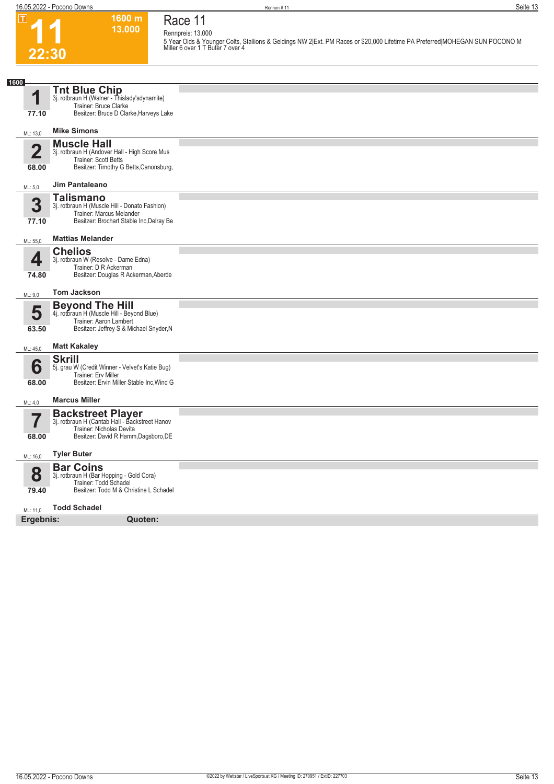# **Race 11 Rennpreis: 13.000**

**1600 m 13.000** 



**5 Year Olds & Younger Colts, Stallions & Geldings NW 2|Ext. PM Races or \$20,000 Lifetime PA Preferred|MOHEGAN SUN POCONO M Miller 6 over 1 T Buter 7 over 4** 

| 1600                             |                                                                                                                                                                     |  |
|----------------------------------|---------------------------------------------------------------------------------------------------------------------------------------------------------------------|--|
| И<br>77.10                       | <b>Tnt Blue Chip</b><br>3j. rotbraun H (Walner - Thislady'sdynamite)<br>Trainer: Bruce Clarke<br>Besitzer: Bruce D Clarke, Harveys Lake                             |  |
| ML: 13,0                         | <b>Mike Simons</b>                                                                                                                                                  |  |
| $\overline{\mathbf{2}}$<br>68.00 | <b>Muscle Hall</b><br>3j. rotbraun H (Andover Hall - High Score Mus<br>Trainer: Scott Betts<br>Besitzer: Timothy G Betts, Canonsburg,                               |  |
| ML: 5,0                          | Jim Pantaleano                                                                                                                                                      |  |
| 3<br>77.10                       | <b>Talismano</b><br>3j. rotbraun H (Muscle Hill - Donato Fashion)<br>Trainer: Marcus Melander<br>Besitzer: Brochart Stable Inc, Delray Be                           |  |
| ML: 55,0                         | <b>Mattias Melander</b>                                                                                                                                             |  |
| 4<br>74.80                       | <b>Chelios</b><br>3j. rotbraun W (Resolve - Dame Edna)<br>Trainer: D R Ackerman<br>Besitzer: Douglas R Ackerman, Aberde                                             |  |
| ML: 9,0                          | <b>Tom Jackson</b>                                                                                                                                                  |  |
| 5<br>63.50                       | <b>Beyond The Hill</b><br>4j. rotbraun H (Muscle Hill - Beyond Blue)<br>Trainer: Aaron Lambert<br>Besitzer: Jeffrey S & Michael Snyder, N                           |  |
| ML: 45,0                         | <b>Matt Kakaley</b>                                                                                                                                                 |  |
| 6<br>68.00<br>ML: 4,0            | <b>Skrill</b><br>5j. grau W (Credit Winner - Velvet's Katie Bug)<br><b>Trainer: Erv Miller</b><br>Besitzer: Ervin Miller Stable Inc, Wind G<br><b>Marcus Miller</b> |  |
|                                  | <b>Backstreet Player</b>                                                                                                                                            |  |
| 7<br>68.00                       | 3j. rotbraun H (Cantab Hall - Backstreet Hanov<br>Trainer: Nicholas Devita<br>Besitzer: David R Hamm, Dagsboro, DE                                                  |  |
| ML: 16.0                         | <b>Tyler Buter</b>                                                                                                                                                  |  |
| 8<br>79.40                       | <b>Bar Coins</b><br>3j. rotbraun H (Bar Hopping - Gold Cora)<br>Trainer: Todd Schadel<br>Besitzer: Todd M & Christine L Schadel                                     |  |
| ML: 11,0                         | <b>Todd Schadel</b>                                                                                                                                                 |  |
| Ergebnis:                        | Quoten:                                                                                                                                                             |  |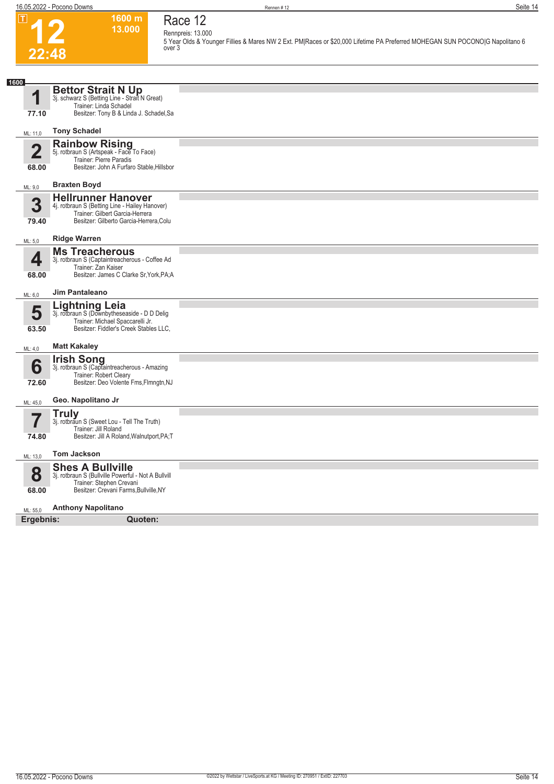**12**

 $\boxed{1}$ 

**22:48**

**1600 m 13.000** 

**Race 12 Rennpreis: 13.000**

**5 Year Olds & Younger Fillies & Mares NW 2 Ext. PM|Races or \$20,000 Lifetime PA Preferred MOHEGAN SUN POCONO|G Napolitano 6 over 3** 

| 1600           |                                                                                   |  |
|----------------|-----------------------------------------------------------------------------------|--|
|                | <b>Bettor Strait N Up</b>                                                         |  |
| 1              | 3j. schwarz S (Betting Line - Strait N Great)<br>Trainer: Linda Schadel           |  |
| 77.10          | Besitzer: Tony B & Linda J. Schadel, Sa                                           |  |
|                | <b>Tony Schadel</b>                                                               |  |
| ML: 11,0       |                                                                                   |  |
| $\overline{2}$ | Rainbow Rising<br>5j. rotbraun S (Artspeak - Face To Face)                        |  |
| 68.00          | Trainer: Pierre Paradis<br>Besitzer: John A Furfaro Stable, Hillsbor              |  |
|                |                                                                                   |  |
| ML: 9,0        | <b>Braxten Boyd</b>                                                               |  |
| 3              | <b>Hellrunner Hanover</b>                                                         |  |
|                | 4j. rotbraun S (Betting Line - Hailey Hanover)<br>Trainer: Gilbert Garcia-Herrera |  |
| 79.40          | Besitzer: Gilberto Garcia-Herrera, Colu                                           |  |
| ML: 5,0        | <b>Ridge Warren</b>                                                               |  |
|                | <b>Ms Treacherous</b>                                                             |  |
| 4              | 3j. rotbraun S (Captaintreacherous - Coffee Ad<br>Trainer: Zan Kaiser             |  |
| 68.00          | Besitzer: James C Clarke Sr, York, PA; A                                          |  |
|                | <b>Jim Pantaleano</b>                                                             |  |
| ML: 6,0        |                                                                                   |  |
| 5              | Lightning Leia<br>3j. rotbraun S (Downbytheseaside - D D Delig                    |  |
|                | Trainer: Michael Spaccarelli Jr.<br>Besitzer: Fiddler's Creek Stables LLC.        |  |
| 63.50          |                                                                                   |  |
| ML: 4,0        | <b>Matt Kakaley</b>                                                               |  |
|                | <b>Irish Song</b><br>3j. rotbraun S (Captaintreacherous - Amazing                 |  |
| 6              | Trainer: Robert Cleary                                                            |  |
| 72.60          | Besitzer: Deo Volente Fms, Flmngtn, NJ                                            |  |
| ML: 45,0       | Geo. Napolitano Jr                                                                |  |
|                | <b>Truly</b>                                                                      |  |
|                | 3j. rotbraun S (Sweet Lou - Tell The Truth)                                       |  |
| 74.80          | Trainer: Jill Roland<br>Besitzer: Jill A Roland, Walnutport, PA;T                 |  |
|                |                                                                                   |  |
| ML: 13,0       | <b>Tom Jackson</b>                                                                |  |
| 8              | <b>Shes A Bullville</b>                                                           |  |
|                | 3j. rotbraun S (Bullville Powerful - Not A Bullvill<br>Trainer: Stephen Crevani   |  |
| 68.00          | Besitzer: Crevani Farms, Bullville, NY                                            |  |
| ML: 55,0       | <b>Anthony Napolitano</b>                                                         |  |
| Ergebnis:      | Quoten:                                                                           |  |
|                |                                                                                   |  |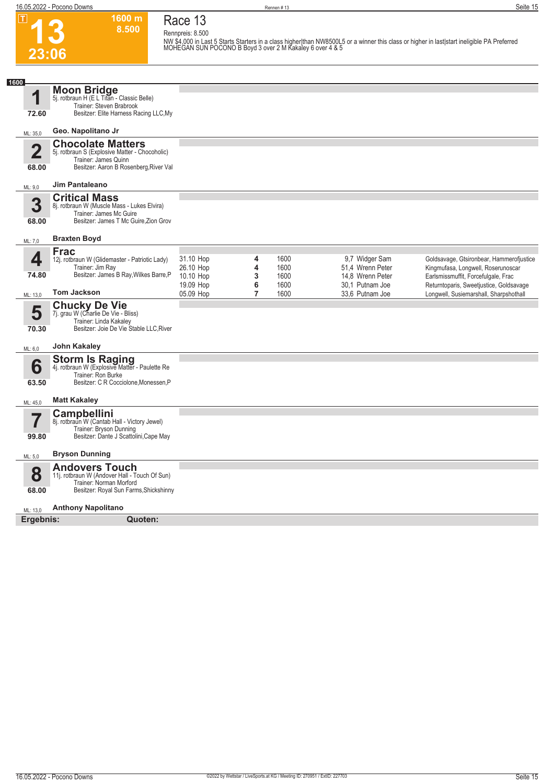$\overline{\mathsf{T}}$ 

**1600 m**

**13 23:06 8.500 Race 13 Rennpreis: 8.500 NW \$4,000 in Last 5 Starts Starters in a class higher|than NW8500L5 or a winner this class or higher in last|start ineligible PA Preferred MOHEGAN SUN POCONO B Boyd 3 over 2 M Kakaley 6 over 4 & 5 1 1600** ML: 35,0 **72.60 Moon Bridge** 5j. rotbraun H (E L Titan - Classic Belle) Trainer: Steven Brabrook Besitzer: Elite Harness Racing LLC,My **Geo. Napolitano Jr 2** ML: 9,0 **68.00 Chocolate Matters** 5j. rotbraun S (Explosive Matter - Chocoholic) Trainer: James Quinn Besitzer: Aaron B Rosenberg, River Val **Jim Pantaleano 3** ML: 7,0 **68.00 Critical Mass** 8j. rotbraun W (Muscle Mass - Lukes Elvira) Trainer: James Mc Guire Besitzer: James T Mc Guire,Zion Grov **Braxten Boyd 4** ML: 13,0 **74.80 Frac** 12j. rotbraun W (Glidemaster - Patriotic Lady) Trainer: Jim Ray Besitzer: James B Ray,Wilkes Barre,P **Tom Jackson** 31.10 Hop **4** 1600 9,7 Widger Sam Goldsavage, Gtsironbear, Hammerofjustice<br>26.10 Hop **4** 1600 51.4 Wrenn Peter Kingmufasa, Longwell, Roserunoscar 26.10 Hop **4** 1600 51,4 Wrenn Peter Kingmufasa, Longwell, Roserunoscar 10.10 Hop **3** 1600 14,8 Wrenn Peter Earlsmissmuffit, Forcefulgale, Frac<br>19.09 Hop **6** 1600 30,1 Putnam Joe Returntoparis, Sweetjustice, Goldsa 1600 1600 30,1 Putnam Joe Returntoparis, Sweetjustice, Goldsavage<br>1600 33,6 Putnam Joe Longwell, Susiemarshall, Sharpshothall 05.09 Hop **7** 1600 33,6 Putnam Joe Longwell, Susiemarshall, Sharpshothall **5** ML: 6,0 **70.30 Chucky De Vie** 7j. grau W (Charlie De Vie - Bliss) Trainer: Linda Kakaley Besitzer: Joie De Vie Stable LLC,River **John Kakaley 6** ML: 45,0 **63.50 Storm Is Raging**<br>4j. rotbraun W (Explosive Matter - Paulette Re Trainer: Ron Burke Besitzer: C R Cocciolone,Monessen,P **Matt Kakaley 7** ML: 5,0 **99.80 Campbellini** 8j. rotbraun W (Cantab Hall - Victory Jewel) Trainer: Bryson Dunning Besitzer: Dante J Scattolini,Cape May **Bryson Dunning 8** ML: 13,0 **68.00 Andovers Touch** 11j. rotbraun W (Andover Hall - Touch Of Sun) Trainer: Norman Morford Besitzer: Royal Sun Farms,Shickshinny **Anthony Napolitano Ergebnis: Quoten:**